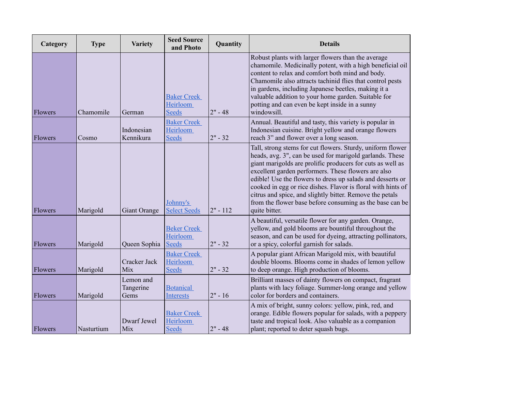| Category | <b>Type</b> | <b>Variety</b>                 | <b>Seed Source</b><br>and Photo                | Quantity   | <b>Details</b>                                                                                                                                                                                                                                                                                                                                                                                                                                                                                                     |
|----------|-------------|--------------------------------|------------------------------------------------|------------|--------------------------------------------------------------------------------------------------------------------------------------------------------------------------------------------------------------------------------------------------------------------------------------------------------------------------------------------------------------------------------------------------------------------------------------------------------------------------------------------------------------------|
| Flowers  | Chamomile   | German                         | <b>Baker Creek</b><br>Heirloom<br><b>Seeds</b> | $2" - 48$  | Robust plants with larger flowers than the average<br>chamomile. Medicinally potent, with a high beneficial oil<br>content to relax and comfort both mind and body.<br>Chamomile also attracts tachinid flies that control pests<br>in gardens, including Japanese beetles, making it a<br>valuable addition to your home garden. Suitable for<br>potting and can even be kept inside in a sunny<br>windowsill.                                                                                                    |
| Flowers  | Cosmo       | Indonesian<br>Kennikura        | <b>Baker Creek</b><br>Heirloom<br><b>Seeds</b> | $2" - 32$  | Annual. Beautiful and tasty, this variety is popular in<br>Indonesian cuisine. Bright yellow and orange flowers<br>reach 3" and flower over a long season.                                                                                                                                                                                                                                                                                                                                                         |
| Flowers  | Marigold    | Giant Orange                   | Johnny's<br><b>Select Seeds</b>                | $2" - 112$ | Tall, strong stems for cut flowers. Sturdy, uniform flower<br>heads, avg. 3", can be used for marigold garlands. These<br>giant marigolds are prolific producers for cuts as well as<br>excellent garden performers. These flowers are also<br>edible! Use the flowers to dress up salads and desserts or<br>cooked in egg or rice dishes. Flavor is floral with hints of<br>citrus and spice, and slightly bitter. Remove the petals<br>from the flower base before consuming as the base can be<br>quite bitter. |
| Flowers  | Marigold    | Queen Sophia                   | <b>Beker Creek</b><br>Heirloom<br><b>Seeds</b> | $2" - 32$  | A beautiful, versatile flower for any garden. Orange,<br>yellow, and gold blooms are bountiful throughout the<br>season, and can be used for dyeing, attracting pollinators,<br>or a spicy, colorful garnish for salads.                                                                                                                                                                                                                                                                                           |
| Flowers  | Marigold    | Cracker Jack<br>Mix            | <b>Baker Creek</b><br>Heirloom<br><b>Seeds</b> | $2" - 32$  | A popular giant African Marigold mix, with beautiful<br>double blooms. Blooms come in shades of lemon yellow<br>to deep orange. High production of blooms.                                                                                                                                                                                                                                                                                                                                                         |
| Flowers  | Marigold    | Lemon and<br>Tangerine<br>Gems | <b>Botanical</b><br><b>Interests</b>           | $2" - 16$  | Brilliant masses of dainty flowers on compact, fragrant<br>plants with lacy foliage. Summer-long orange and yellow<br>color for borders and containers.                                                                                                                                                                                                                                                                                                                                                            |
| Flowers  | Nasturtium  | Dwarf Jewel<br>Mix             | <b>Baker Creek</b><br>Heirloom<br><b>Seeds</b> | $2" - 48$  | A mix of bright, sunny colors: yellow, pink, red, and<br>orange. Edible flowers popular for salads, with a peppery<br>taste and tropical look. Also valuable as a companion<br>plant; reported to deter squash bugs.                                                                                                                                                                                                                                                                                               |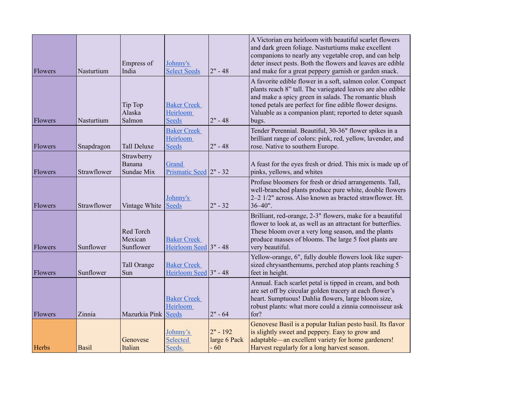| Flowers | Nasturtium   | Empress of<br>India                | Johnny's<br><b>Select Seeds</b>                | $2" - 48$                           | A Victorian era heirloom with beautiful scarlet flowers<br>and dark green foliage. Nasturtiums make excellent<br>companions to nearly any vegetable crop, and can help<br>deter insect pests. Both the flowers and leaves are edible<br>and make for a great peppery garnish or garden snack.                    |
|---------|--------------|------------------------------------|------------------------------------------------|-------------------------------------|------------------------------------------------------------------------------------------------------------------------------------------------------------------------------------------------------------------------------------------------------------------------------------------------------------------|
| Flowers | Nasturtium   | Tip Top<br>Alaska<br>Salmon        | <b>Baker Creek</b><br>Heirloom<br><b>Seeds</b> | $2" - 48$                           | A favorite edible flower in a soft, salmon color. Compact<br>plants reach 8" tall. The variegated leaves are also edible<br>and make a spicy green in salads. The romantic blush<br>toned petals are perfect for fine edible flower designs.<br>Valuable as a companion plant; reported to deter squash<br>bugs. |
| Flowers | Snapdragon   | <b>Tall Deluxe</b>                 | <b>Baker Creek</b><br>Heirloom<br><b>Seeds</b> | $2" - 48$                           | Tender Perennial. Beautiful, 30-36" flower spikes in a<br>brilliant range of colors: pink, red, yellow, lavender, and<br>rose. Native to southern Europe.                                                                                                                                                        |
| Flowers | Strawflower  | Strawberry<br>Banana<br>Sundae Mix | Grand<br>Prismatic Seed 2" - 32                |                                     | A feast for the eyes fresh or dried. This mix is made up of<br>pinks, yellows, and whites                                                                                                                                                                                                                        |
| Flowers | Strawflower  | Vintage White                      | Johnny's<br><b>Seeds</b>                       | $2" - 32$                           | Profuse bloomers for fresh or dried arrangements. Tall,<br>well-branched plants produce pure white, double flowers<br>2-2 1/2" across. Also known as bracted strawflower. Ht.<br>$36 - 40$ ".                                                                                                                    |
| Flowers | Sunflower    | Red Torch<br>Mexican<br>Sunflower  | <b>Baker Creek</b><br>Heirloom Seed 3" - 48    |                                     | Brilliant, red-orange, 2-3" flowers, make for a beautiful<br>flower to look at, as well as an attractant for butterflies.<br>These bloom over a very long season, and the plants<br>produce masses of blooms. The large 5 foot plants are<br>very beautiful.                                                     |
| Flowers | Sunflower    | Tall Orange<br>Sun                 | <b>Baker Creek</b><br>Heirloom Seed 3" - 48    |                                     | Yellow-orange, 6", fully double flowers look like super-<br>sized chrysanthemums, perched atop plants reaching 5<br>feet in height.                                                                                                                                                                              |
| Flowers | Zinnia       | Mazurkia Pink                      | <b>Baker Creek</b><br>Heirloom<br><b>Seeds</b> | $2" - 64$                           | Annual. Each scarlet petal is tipped in cream, and both<br>are set off by circular golden tracery at each flower's<br>heart. Sumptuous! Dahlia flowers, large bloom size,<br>robust plants: what more could a zinnia connoisseur ask<br>for?                                                                     |
| Herbs   | <b>Basil</b> | Genovese<br>Italian                | Johnny's<br>Selected<br>Seeds.                 | $2" - 192$<br>large 6 Pack<br>$-60$ | Genovese Basil is a popular Italian pesto basil. Its flavor<br>is slightly sweet and peppery. Easy to grow and<br>adaptable—an excellent variety for home gardeners!<br>Harvest regularly for a long harvest season.                                                                                             |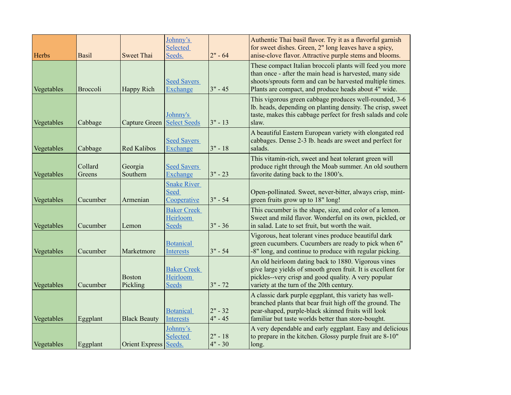| Herbs      | <b>Basil</b>      | <b>Sweet Thai</b>         | Johnny's<br>Selected<br>Seeds.                        | $2" - 64$              | Authentic Thai basil flavor. Try it as a flavorful garnish<br>for sweet dishes. Green, 2" long leaves have a spicy,<br>anise-clove flavor. Attractive purple stems and blooms.                                                          |
|------------|-------------------|---------------------------|-------------------------------------------------------|------------------------|-----------------------------------------------------------------------------------------------------------------------------------------------------------------------------------------------------------------------------------------|
| Vegetables | <b>Broccoli</b>   | Happy Rich                | <b>Seed Savers</b><br>Exchange                        | $3" - 45$              | These compact Italian broccoli plants will feed you more<br>than once - after the main head is harvested, many side<br>shoots/sprouts form and can be harvested multiple times.<br>Plants are compact, and produce heads about 4" wide. |
| Vegetables | Cabbage           | Capture Green             | Johnny's<br><b>Select Seeds</b>                       | $3" - 13$              | This vigorous green cabbage produces well-rounded, 3-6<br>lb. heads, depending on planting density. The crisp, sweet<br>taste, makes this cabbage perfect for fresh salads and cole<br>slaw.                                            |
| Vegetables | Cabbage           | <b>Red Kalibos</b>        | <b>Seed Savers</b><br>Exchange                        | $3" - 18$              | A beautiful Eastern European variety with elongated red<br>cabbages. Dense 2-3 lb. heads are sweet and perfect for<br>salads.                                                                                                           |
| Vegetables | Collard<br>Greens | Georgia<br>Southern       | <b>Seed Savers</b><br>Exchange                        | $3" - 23$              | This vitamin-rich, sweet and heat tolerant green will<br>produce right through the Moab summer. An old southern<br>favorite dating back to the 1800's.                                                                                  |
| Vegetables | Cucumber          | Armenian                  | <b>Snake River</b><br>Seed<br>Cooperative             | $3" - 54$              | Open-pollinated. Sweet, never-bitter, always crisp, mint-<br>green fruits grow up to 18" long!                                                                                                                                          |
| Vegetables | Cucumber          | Lemon                     | <b>Baker Creek</b><br><b>Heirloom</b><br><b>Seeds</b> | $3" - 36$              | This cucumber is the shape, size, and color of a lemon.<br>Sweet and mild flavor. Wonderful on its own, pickled, or<br>in salad. Late to set fruit, but worth the wait.                                                                 |
| Vegetables | Cucumber          | Marketmore                | <b>Botanical</b><br>Interests                         | $3" - 54$              | Vigorous, heat tolerant vines produce beautiful dark<br>green cucumbers. Cucumbers are ready to pick when 6"<br>-8" long, and continue to produce with regular picking.                                                                 |
| Vegetables | Cucumber          | <b>Boston</b><br>Pickling | <b>Baker Creek</b><br>Heirloom<br><b>Seeds</b>        | $3" - 72$              | An old heirloom dating back to 1880. Vigorous vines<br>give large yields of smooth green fruit. It is excellent for<br>pickles--very crisp and good quality. A very popular<br>variety at the turn of the 20th century.                 |
| Vegetables | Eggplant          | <b>Black Beauty</b>       | <b>Botanical</b><br>Interests                         | $2" - 32$<br>$4" - 45$ | A classic dark purple eggplant, this variety has well-<br>branched plants that bear fruit high off the ground. The<br>pear-shaped, purple-black skinned fruits will look<br>familiar but taste worlds better than store-bought.         |
| Vegetables | Eggplant          | Orient Express Seeds.     | Johnny's<br><b>Selected</b>                           | $2" - 18$<br>$4" - 30$ | A very dependable and early eggplant. Easy and delicious<br>to prepare in the kitchen. Glossy purple fruit are 8-10"<br>long.                                                                                                           |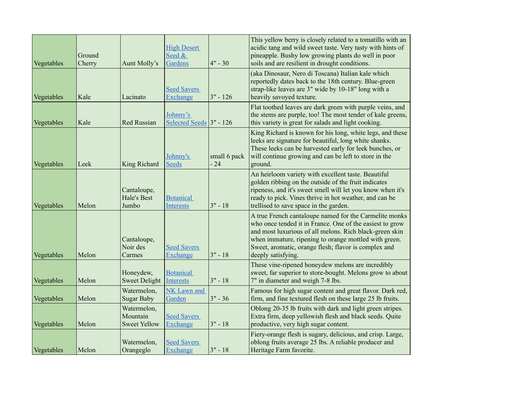| Vegetables | Ground<br>Cherry | Aunt Molly's                                   | <b>High Desert</b><br>Seed &<br>Gardens | $4" - 30$             | This yellow berry is closely related to a tomatillo with an<br>acidic tang and wild sweet taste. Very tasty with hints of<br>pineapple. Bushy low growing plants do well in poor<br>soils and are resilient in drought conditions.                                                                                   |
|------------|------------------|------------------------------------------------|-----------------------------------------|-----------------------|----------------------------------------------------------------------------------------------------------------------------------------------------------------------------------------------------------------------------------------------------------------------------------------------------------------------|
| Vegetables | Kale             | Lacinato                                       | <b>Seed Savers</b><br>Exchange          | $3" - 126$            | (aka Dinosaur, Nero di Toscana) Italian kale which<br>reportedly dates back to the 18th century. Blue-green<br>strap-like leaves are 3" wide by 10-18" long with a<br>heavily savoyed texture.                                                                                                                       |
| Vegetables | Kale             | <b>Red Russian</b>                             | Johnny's<br>Selected Seeds $3"$ - 126   |                       | Flat toothed leaves are dark green with purple veins, and<br>the stems are purple, too! The most tender of kale greens,<br>this variety is great for salads and light cooking.                                                                                                                                       |
| Vegetables | Leek             | King Richard                                   | Johnny's<br><b>Seeds</b>                | small 6 pack<br>$-24$ | King Richard is known for his long, white legs, and these<br>leeks are signature for beautiful, long white shanks.<br>These leeks can be harvested early for leek bunches, or<br>will continue growing and can be left to store in the<br>ground.                                                                    |
| Vegetables | Melon            | Cantaloupe,<br><b>Hale's Best</b><br>Jumbo     | <b>Botanical</b><br>Interests           | $3" - 18$             | An heirloom variety with excellent taste. Beautiful<br>golden ribbing on the outside of the fruit indicates<br>ripeness, and it's sweet smell will let you know when it's<br>ready to pick. Vines thrive in hot weather, and can be<br>trellised to save space in the garden.                                        |
| Vegetables | Melon            | Cantaloupe,<br>Noir des<br>Carmes              | <b>Seed Savers</b><br>Exchange          | $3" - 18$             | A true French cantaloupe named for the Carmelite monks<br>who once tended it in France. One of the easiest to grow<br>and most luxurious of all melons. Rich black-green skin<br>when immature, ripening to orange mottled with green.<br>Sweet, aromatic, orange flesh; flavor is complex and<br>deeply satisfying. |
| Vegetables | Melon            | Honeydew,<br><b>Sweet Delight</b>              | <b>Botanical</b><br>Interests           | $3" - 18$             | These vine-ripened honeydew melons are incredibly<br>sweet, far superior to store-bought. Melons grow to about<br>7" in diameter and weigh 7-8 lbs.                                                                                                                                                                  |
| Vegetables | Melon            | Watermelon,<br><b>Sugar Baby</b>               | NK Lawn and<br>Garden                   | $3" - 36$             | Famous for high sugar content and great flavor. Dark red,<br>firm, and fine textured flesh on these large 25 lb fruits.                                                                                                                                                                                              |
| Vegetables | Melon            | Watermelon,<br>Mountain<br><b>Sweet Yellow</b> | <b>Seed Savers</b><br>Exchange          | $3" - 18$             | Oblong 20-35 lb fruits with dark and light green stripes.<br>Extra firm, deep yellowish flesh and black seeds. Quite<br>productive, very high sugar content.                                                                                                                                                         |
| Vegetables | Melon            | Watermelon,<br>Orangeglo                       | <b>Seed Savers</b><br>Exchange          | $3" - 18$             | Fiery-orange flesh is sugary, delicious, and crisp. Large,<br>oblong fruits average 25 lbs. A reliable producer and<br>Heritage Farm favorite.                                                                                                                                                                       |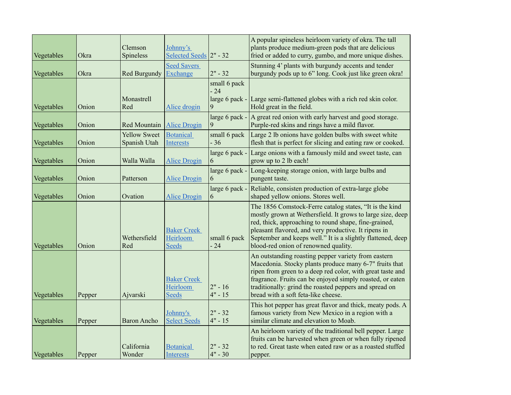| Vegetables | Okra   | Clemson<br>Spineless                | Johnny's<br>Selected Seeds 2" - 32             |                                      | A popular spineless heirloom variety of okra. The tall<br>plants produce medium-green pods that are delicious<br>fried or added to curry, gumbo, and more unique dishes.                                                                                                                                                                      |
|------------|--------|-------------------------------------|------------------------------------------------|--------------------------------------|-----------------------------------------------------------------------------------------------------------------------------------------------------------------------------------------------------------------------------------------------------------------------------------------------------------------------------------------------|
| Vegetables | Okra   | Red Burgundy                        | <b>Seed Savers</b><br>Exchange                 | $2" - 32$                            | Stunning 4' plants with burgundy accents and tender<br>burgundy pods up to 6" long. Cook just like green okra!                                                                                                                                                                                                                                |
| Vegetables | Onion  | Monastrell<br>Red                   | Alice drogin                                   | small 6 pack<br>$-24$<br>$\mathbf Q$ | large 6 pack - Large semi-flattened globes with a rich red skin color.<br>Hold great in the field.                                                                                                                                                                                                                                            |
| Vegetables | Onion  | Red Mountain                        | <b>Alice Drogin</b>                            |                                      | large 6 pack $\text{-}$   A great red onion with early harvest and good storage.<br>Purple-red skins and rings have a mild flavor.                                                                                                                                                                                                            |
| Vegetables | Onion  | <b>Yellow Sweet</b><br>Spanish Utah | <b>Botanical</b><br><b>Interests</b>           | small 6 pack<br>$-36$                | Large 2 lb onions have golden bulbs with sweet white<br>flesh that is perfect for slicing and eating raw or cooked.                                                                                                                                                                                                                           |
| Vegetables | Onion  | Walla Walla                         | <b>Alice Drogin</b>                            | large 6 pack -<br>6                  | Large onions with a famously mild and sweet taste, can<br>grow up to 2 lb each!                                                                                                                                                                                                                                                               |
| Vegetables | Onion  | Patterson                           | <b>Alice Drogin</b>                            | large 6 pack -<br>6                  | Long-keeping storage onion, with large bulbs and<br>pungent taste.                                                                                                                                                                                                                                                                            |
| Vegetables | Onion  | Ovation                             | <b>Alice Drogin</b>                            | large 6 pack -<br>6                  | Reliable, consisten production of extra-large globe<br>shaped yellow onions. Stores well.                                                                                                                                                                                                                                                     |
| Vegetables | Onion  | Wethersfield<br>Red                 | <b>Baker Creek</b><br>Heirloom<br><b>Seeds</b> | small 6 pack<br>$-24$                | The 1856 Comstock-Ferre catalog states, "It is the kind<br>mostly grown at Wethersfield. It grows to large size, deep<br>red, thick, approaching to round shape, fine-grained,<br>pleasant flavored, and very productive. It ripens in<br>September and keeps well." It is a slightly flattened, deep<br>blood-red onion of renowned quality. |
| Vegetables | Pepper | Ajvarski                            | <b>Baker Creek</b><br>Heirloom<br>Seeds        | $2" - 16$<br>$4" - 15$               | An outstanding roasting pepper variety from eastern<br>Macedonia. Stocky plants produce many 6-7" fruits that<br>ripen from green to a deep red color, with great taste and<br>fragrance. Fruits can be enjoyed simply roasted, or eaten<br>traditionally: grind the roasted peppers and spread on<br>bread with a soft feta-like cheese.     |
| Vegetables | Pepper | <b>Baron Ancho</b>                  | Johnny's<br><b>Select Seeds</b>                | $ 2" - 32 $<br>$4" - 15$             | This hot pepper has great flavor and thick, meaty pods. A<br>famous variety from New Mexico in a region with a<br>similar climate and elevation to Moab.                                                                                                                                                                                      |
| Vegetables | Pepper | California<br>Wonder                | <b>Botanical</b><br><b>Interests</b>           | $2" - 32$<br>$4" - 30$               | An heirloom variety of the traditional bell pepper. Large<br>fruits can be harvested when green or when fully ripened<br>to red. Great taste when eated raw or as a roasted stuffed<br>pepper.                                                                                                                                                |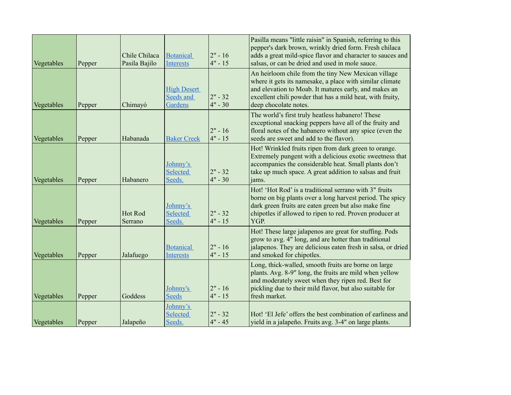| Vegetables | Pepper | Chile Chilaca<br>Pasila Bajilo | <b>Botanical</b><br>Interests              | $2" - 16$<br>$4" - 15$ | Pasilla means "little raisin" in Spanish, referring to this<br>pepper's dark brown, wrinkly dried form. Fresh chilaca<br>adds a great mild-spice flavor and character to sauces and<br>salsas, or can be dried and used in mole sauce.                         |
|------------|--------|--------------------------------|--------------------------------------------|------------------------|----------------------------------------------------------------------------------------------------------------------------------------------------------------------------------------------------------------------------------------------------------------|
| Vegetables | Pepper | Chimayó                        | <b>High Desert</b><br>Seeds and<br>Gardens | $2" - 32$<br>$4" - 30$ | An heirloom chile from the tiny New Mexican village<br>where it gets its namesake, a place with similar climate<br>and elevation to Moab. It matures early, and makes an<br>excellent chili powder that has a mild heat, with fruity,<br>deep chocolate notes. |
| Vegetables | Pepper | Habanada                       | <b>Baker Creek</b>                         | $2" - 16$<br>$4" - 15$ | The world's first truly heatless habanero! These<br>exceptional snacking peppers have all of the fruity and<br>floral notes of the habanero without any spice (even the<br>seeds are sweet and add to the flavor).                                             |
| Vegetables | Pepper | Habanero                       | Johnny's<br><b>Selected</b><br>Seeds.      | $2" - 32$<br>$4" - 30$ | Hot! Wrinkled fruits ripen from dark green to orange.<br>Extremely pungent with a delicious exotic sweetness that<br>accompanies the considerable heat. Small plants don't<br>take up much space. A great addition to salsas and fruit<br>jams.                |
| Vegetables | Pepper | Hot Rod<br>Serrano             | Johnny's<br>Selected<br>Seeds.             | $2" - 32$<br>$4" - 15$ | Hot! 'Hot Rod' is a traditional serrano with 3" fruits<br>borne on big plants over a long harvest period. The spicy<br>dark green fruits are eaten green but also make fine<br>chipotles if allowed to ripen to red. Proven producer at<br>YGP.                |
| Vegetables | Pepper | Jalafuego                      | <b>Botanical</b><br>Interests              | $2" - 16$<br>$4" - 15$ | Hot! These large jalapenos are great for stuffing. Pods<br>grow to avg. 4" long, and are hotter than traditional<br>jalapenos. They are delicious eaten fresh in salsa, or dried<br>and smoked for chipotles.                                                  |
| Vegetables | Pepper | Goddess                        | Johnny's<br><b>Seeds</b>                   | $2" - 16$<br>$4" - 15$ | Long, thick-walled, smooth fruits are borne on large<br>plants. Avg. 8-9" long, the fruits are mild when yellow<br>and moderately sweet when they ripen red. Best for<br>pickling due to their mild flavor, but also suitable for<br>fresh market.             |
| Vegetables | Pepper | Jalapeño                       | Johnny's<br>Selected<br>Seeds.             | $2" - 32$<br>$4" - 45$ | Hot! 'El Jefe' offers the best combination of earliness and<br>yield in a jalapeño. Fruits avg. 3-4" on large plants.                                                                                                                                          |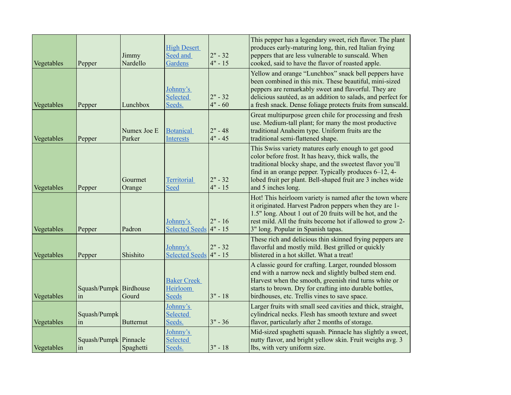| Vegetables | Pepper                       | Jimmy<br>Nardello     | <b>High Desert</b><br>Seed and<br>Gardens      | $2" - 32$<br>$4" - 15$ | This pepper has a legendary sweet, rich flavor. The plant<br>produces early-maturing long, thin, red Italian frying<br>peppers that are less vulnerable to sunscald. When<br>cooked, said to have the flavor of roasted apple.                                                                                    |
|------------|------------------------------|-----------------------|------------------------------------------------|------------------------|-------------------------------------------------------------------------------------------------------------------------------------------------------------------------------------------------------------------------------------------------------------------------------------------------------------------|
| Vegetables | Pepper                       | Lunchbox              | Johnny's<br>Selected<br>Seeds.                 | $2" - 32$<br>$4" - 60$ | Yellow and orange "Lunchbox" snack bell peppers have<br>been combined in this mix. These beautiful, mini-sized<br>peppers are remarkably sweet and flavorful. They are<br>delicious sautéed, as an addition to salads, and perfect for<br>a fresh snack. Dense foliage protects fruits from sunscald.             |
| Vegetables | Pepper                       | Numex Joe E<br>Parker | <b>Botanical</b><br><b>Interests</b>           | $2" - 48$<br>$4" - 45$ | Great multipurpose green chile for processing and fresh<br>use. Medium-tall plant; for many the most productive<br>traditional Anaheim type. Uniform fruits are the<br>traditional semi-flattened shape.                                                                                                          |
| Vegetables | Pepper                       | Gourmet<br>Orange     | <b>Territorial</b><br>Seed                     | $2" - 32$<br>$4" - 15$ | This Swiss variety matures early enough to get good<br>color before frost. It has heavy, thick walls, the<br>traditional blocky shape, and the sweetest flavor you'll<br>find in an orange pepper. Typically produces 6–12, 4-<br>lobed fruit per plant. Bell-shaped fruit are 3 inches wide<br>and 5 inches long |
| Vegetables | Pepper                       | Padron                | Johnny's<br>Selected Seeds 4" - 15             | $ 2" - 16$             | Hot! This heirloom variety is named after the town where<br>it originated. Harvest Padron peppers when they are 1-<br>1.5" long. About 1 out of 20 fruits will be hot, and the<br>rest mild. All the fruits become hot if allowed to grow 2-<br>3" long. Popular in Spanish tapas.                                |
| Vegetables | Pepper                       | Shishito              | Johnny's<br>Selected Seeds $4" - 15$           | $2" - 32$              | These rich and delicious thin skinned frying peppers are<br>flavorful and mostly mild. Best grilled or quickly<br>blistered in a hot skillet. What a treat!                                                                                                                                                       |
| Vegetables | Squash/Pumpk Birdhouse<br>in | Gourd                 | <b>Baker Creek</b><br>Heirloom<br><b>Seeds</b> | $3" - 18$              | A classic gourd for crafting. Larger, rounded blossom<br>end with a narrow neck and slightly bulbed stem end.<br>Harvest when the smooth, greenish rind turns white or<br>starts to brown. Dry for crafting into durable bottles,<br>birdhouses, etc. Trellis vines to save space.                                |
| Vegetables | Squash/Pumpk<br>in           | <b>Butternut</b>      | Johnny's<br>Selected<br>Seeds.                 | $3" - 36$              | Larger fruits with small seed cavities and thick, straight,<br>cylindrical necks. Flesh has smooth texture and sweet<br>flavor, particularly after 2 months of storage.                                                                                                                                           |
| Vegetables | Squash/Pumpk Pinnacle<br>in  | Spaghetti             | Johnny's<br>Selected<br>Seeds.                 | $3" - 18$              | Mid-sized spaghetti squash. Pinnacle has slightly a sweet,<br>nutty flavor, and bright yellow skin. Fruit weighs avg. 3<br>lbs, with very uniform size.                                                                                                                                                           |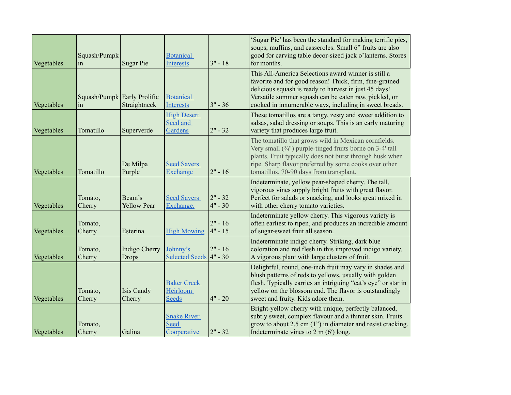| Vegetables | Squash/Pumpk<br>in                | <b>Sugar Pie</b>              | <b>Botanical</b><br>Interests                    | $3" - 18$              | 'Sugar Pie' has been the standard for making terrific pies,<br>soups, muffins, and casseroles. Small 6" fruits are also<br>good for carving table decor-sized jack o'lanterns. Stores<br>for months.                                                                                       |
|------------|-----------------------------------|-------------------------------|--------------------------------------------------|------------------------|--------------------------------------------------------------------------------------------------------------------------------------------------------------------------------------------------------------------------------------------------------------------------------------------|
| Vegetables | Squash/Pumpk Early Prolific<br>in | Straightneck                  | <b>Botanical</b><br><b>Interests</b>             | $3" - 36$              | This All-America Selections award winner is still a<br>favorite and for good reason! Thick, firm, fine-grained<br>delicious squash is ready to harvest in just 45 days!<br>Versatile summer squash can be eaten raw, pickled, or<br>cooked in innumerable ways, including in sweet breads. |
| Vegetables | Tomatillo                         | Superverde                    | <b>High Desert</b><br>Seed and<br>Gardens        | $2" - 32$              | These tomatillos are a tangy, zesty and sweet addition to<br>salsas, salad dressing or soups. This is an early maturing<br>variety that produces large fruit.                                                                                                                              |
| Vegetables | Tomatillo                         | De Milpa<br>Purple            | <b>Seed Savers</b><br>Exchange                   | $2" - 16$              | The tomatillo that grows wild in Mexican cornfields.<br>Very small $(3/4)$ purple-tinged fruits borne on 3-4' tall<br>plants. Fruit typically does not burst through husk when<br>ripe. Sharp flavor preferred by some cooks over other<br>tomatillos. 70-90 days from transplant.         |
| Vegetables | Tomato,<br>Cherry                 | Beam's<br><b>Yellow Pear</b>  | <b>Seed Savers</b><br>Exchange.                  | $2" - 32$<br>$4" - 30$ | Indeterminate, yellow pear-shaped cherry. The tall,<br>vigorous vines supply bright fruits with great flavor.<br>Perfect for salads or snacking, and looks great mixed in<br>with other cherry tomato varieties.                                                                           |
| Vegetables | Tomato,<br>Cherry                 | Esterina                      | <b>High Mowing</b>                               | $2" - 16$<br>$4" - 15$ | Indeterminate yellow cherry. This vigorous variety is<br>often earliest to ripen, and produces an incredible amount<br>of sugar-sweet fruit all season.                                                                                                                                    |
| Vegetables | Tomato,<br>Cherry                 | Indigo Cherry<br><b>Drops</b> | Johnny's<br>Selected Seeds 4" - 30               | $2" - 16$              | Indeterminate indigo cherry. Striking, dark blue<br>coloration and red flesh in this improved indigo variety.<br>A vigorous plant with large clusters of fruit.                                                                                                                            |
| Vegetables | Tomato,<br>Cherry                 | <b>Isis Candy</b><br>Cherry   | <b>Baker Creek</b><br>Heirloom<br><b>Seeds</b>   | $4" - 20$              | Delightful, round, one-inch fruit may vary in shades and<br>blush patterns of reds to yellows, usually with golden<br>flesh. Typically carries an intriguing "cat's eye" or star in<br>yellow on the blossom end. The flavor is outstandingly<br>sweet and fruity. Kids adore them.        |
| Vegetables | Tomato,<br>Cherry                 | Galina                        | <b>Snake River</b><br><b>Seed</b><br>Cooperative | $2" - 32$              | Bright-yellow cherry with unique, perfectly balanced,<br>subtly sweet, complex flavour and a thinner skin. Fruits<br>grow to about $2.5$ cm $(1")$ in diameter and resist cracking.<br>Indeterminate vines to $2 \text{ m} (6')$ long.                                                     |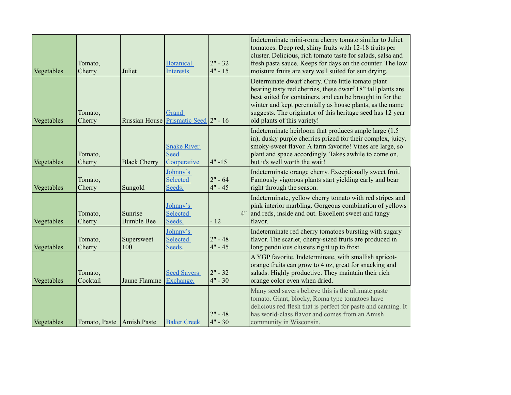| Vegetables | Tomato,<br>Cherry         | Juliet                       | <b>Botanical</b><br><b>Interests</b>             | $ 2" - 32 $<br>$4" - 15$ | Indeterminate mini-roma cherry tomato similar to Juliet<br>tomatoes. Deep red, shiny fruits with 12-18 fruits per<br>cluster. Delicious, rich tomato taste for salads, salsa and<br>fresh pasta sauce. Keeps for days on the counter. The low<br>moisture fruits are very well suited for sun drying.                                   |
|------------|---------------------------|------------------------------|--------------------------------------------------|--------------------------|-----------------------------------------------------------------------------------------------------------------------------------------------------------------------------------------------------------------------------------------------------------------------------------------------------------------------------------------|
| Vegetables | Tomato,<br>Cherry         | <b>Russian House</b>         | Grand<br>Prismatic Seed 2" - 16                  |                          | Determinate dwarf cherry. Cute little tomato plant<br>bearing tasty red cherries, these dwarf 18" tall plants are<br>best suited for containers, and can be brought in for the<br>winter and kept perennially as house plants, as the name<br>suggests. The originator of this heritage seed has 12 year<br>old plants of this variety! |
| Vegetables | Tomato,<br>Cherry         | <b>Black Cherry</b>          | <b>Snake River</b><br><b>Seed</b><br>Cooperative | $ 4" - 15$               | Indeterminate heirloom that produces ample large (1.5)<br>in), dusky purple cherries prized for their complex, juicy,<br>smoky-sweet flavor. A farm favorite! Vines are large, so<br>plant and space accordingly. Takes awhile to come on,<br>but it's well worth the wait!                                                             |
| Vegetables | Tomato,<br>Cherry         | Sungold                      | Johnny's<br>Selected<br>Seeds.                   | $2" - 64$<br>$4" - 45$   | Indeterminate orange cherry. Exceptionally sweet fruit.<br>Famously vigorous plants start yielding early and bear<br>right through the season.                                                                                                                                                                                          |
| Vegetables | Tomato,<br>Cherry         | Sunrise<br><b>Bumble Bee</b> | Johnny's<br>Selected<br>Seeds.                   | $-12$                    | Indeterminate, yellow cherry tomato with red stripes and<br>pink interior marbling. Gorgeous combination of yellows<br>4" and reds, inside and out. Excellent sweet and tangy<br>flavor.                                                                                                                                                |
| Vegetables | Tomato,<br>Cherry         | Supersweet<br>100            | Johnny's<br>Selected<br>Seeds.                   | $2" - 48$<br>$4" - 45$   | Indeterminate red cherry tomatoes bursting with sugary<br>flavor. The scarlet, cherry-sized fruits are produced in<br>long pendulous clusters right up to frost.                                                                                                                                                                        |
| Vegetables | Tomato,<br>Cocktail       | Jaune Flamme                 | <b>Seed Savers</b><br>Exchange.                  | $ 2" - 32 $<br>$4" - 30$ | A YGP favorite. Indeterminate, with smallish apricot-<br>orange fruits can grow to 4 oz, great for snacking and<br>salads. Highly productive. They maintain their rich<br>orange color even when dried.                                                                                                                                 |
| Vegetables | Tomato, Paste Amish Paste |                              | <b>Baker Creek</b>                               | $2" - 48$<br>$4" - 30$   | Many seed savers believe this is the ultimate paste<br>tomato. Giant, blocky, Roma type tomatoes have<br>delicious red flesh that is perfect for paste and canning. It<br>has world-class flavor and comes from an Amish<br>community in Wisconsin.                                                                                     |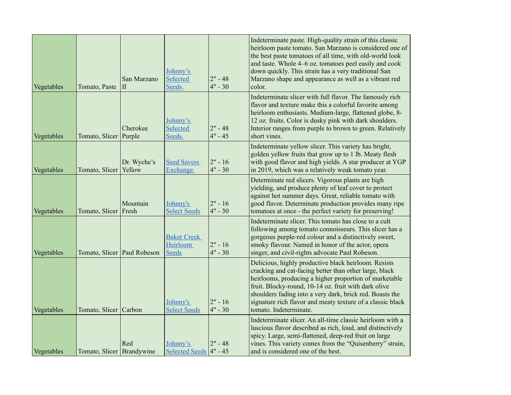| Vegetables | Tomato, Paste                 | San Marzano<br>$\prod$ | Johnny's<br>Selected<br>Seeds.                 | $2" - 48$<br>$4" - 30$  | Indeterminate paste. High-quality strain of this classic<br>heirloom paste tomato. San Marzano is considered one of<br>the best paste tomatoes of all time, with old-world look<br>and taste. Whole 4–6 oz. tomatoes peel easily and cook<br>down quickly. This strain has a very traditional San<br>Marzano shape and appearance as well as a vibrant red<br>color.                 |
|------------|-------------------------------|------------------------|------------------------------------------------|-------------------------|--------------------------------------------------------------------------------------------------------------------------------------------------------------------------------------------------------------------------------------------------------------------------------------------------------------------------------------------------------------------------------------|
| Vegetables | Tomato, Slicer Purple         | Cherokee               | Johnny's<br>Selected<br>Seeds.                 | $2" - 48$<br>$4" - 45$  | Indeterminate slicer with full flavor. The famously rich<br>flavor and texture make this a colorful favorite among<br>heirloom enthusiasts. Medium-large, flattened globe, 8-<br>12 oz. fruits. Color is dusky pink with dark shoulders.<br>Interior ranges from purple to brown to green. Relatively<br>short vines.                                                                |
| Vegetables | Tomato, Slicer   Yellow       | Dr. Wyche's            | <b>Seed Savers</b><br>Exchange.                | $ 2" - 16$<br>$4" - 30$ | Indeterminate yellow slicer. This variety has bright,<br>golden yellow fruits that grow up to 1 lb. Meaty flesh<br>with good flavor and high yields. A star producer at YGP<br>in 2019, which was a relatively weak tomato year.                                                                                                                                                     |
| Vegetables | Tomato, Slicer Fresh          | Mountain               | Johnny's<br><b>Select Seeds</b>                | $2" - 16$<br>$4" - 30$  | Determinate red slicers. Vigorous plants are high<br>yielding, and produce plenty of leaf cover to protect<br>against hot summer days. Great, reliable tomato with<br>good flavor. Determinate production provides many ripe<br>tomatoes at once - the perfect variety for preserving!                                                                                               |
| Vegetables | Tomato, Slicer   Paul Robeson |                        | <b>Baker Creek</b><br>Heirloom<br><b>Seeds</b> | $2" - 16$<br>$4" - 30$  | Indeterminate slicer. This tomato has close to a cult<br>following among tomato connoisseurs. This slicer has a<br>gorgeous purple-red colour and a distinctively sweet,<br>smoky flavour. Named in honor of the actor, opera<br>singer, and civil-rights advocate Paul Robeson.                                                                                                     |
| Vegetables | Tomato, Slicer Carbon         |                        | Johnny's<br><b>Select Seeds</b>                | $ 2" - 16$<br>$4" - 30$ | Delicious, highly productive black heirloom. Resists<br>cracking and cat-facing better than other large, black<br>heirlooms, producing a higher proportion of marketable<br>fruit. Blocky-round, 10-14 oz. fruit with dark olive<br>shoulders fading into a very dark, brick red. Boasts the<br>signature rich flavor and meaty texture of a classic black<br>tomato. Indeterminate. |
| Vegetables | Tomato, Slicer Brandywine     | Red                    | Johnny's<br>Selected Seeds $4" - 45$           | $2" - 48$               | Indeterminate slicer. An all-time classic heirloom with a<br>luscious flavor described as rich, loud, and distinctively<br>spicy. Large, semi-flattened, deep-red fruit on large<br>vines. This variety comes from the "Quisenberry" strain,<br>and is considered one of the best.                                                                                                   |